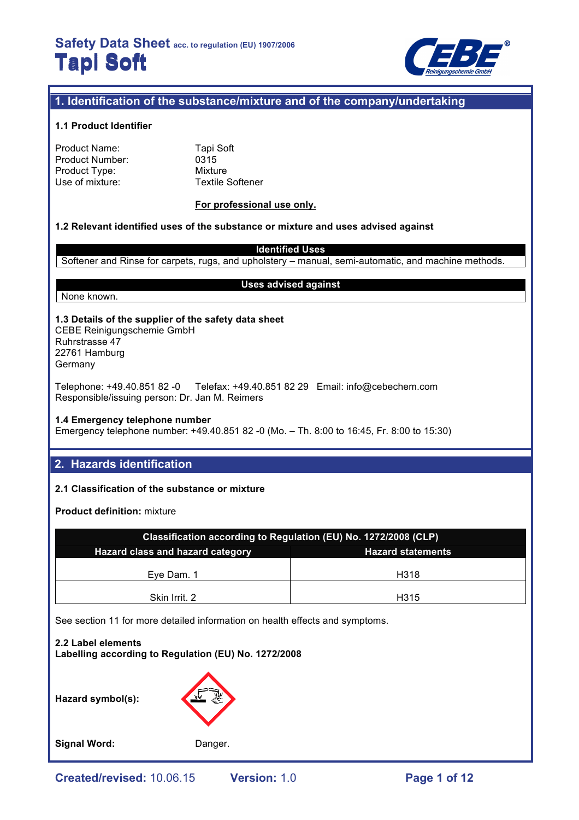

## **1. Identification of the substance/mixture and of the company/undertaking**

### **1.1 Product Identifier**

| Product Name:   |  |
|-----------------|--|
| Product Number: |  |
| Product Type:   |  |
| Use of mixture: |  |

**Tapi Soft**  $0315$ Mixture Textile Softener

#### **For professional use only.**

#### **1.2 Relevant identified uses of the substance or mixture and uses advised against**

**Identified Uses** Softener and Rinse for carpets, rugs, and upholstery – manual, semi-automatic, and machine methods.

**Uses advised against**

None known.

## **1.3 Details of the supplier of the safety data sheet**

CEBE Reinigungschemie GmbH Ruhrstrasse 47 22761 Hamburg Germany

Telephone: +49.40.851 82 -0 Telefax: +49.40.851 82 29 Email: info@cebechem.com Responsible/issuing person: Dr. Jan M. Reimers

**1.4 Emergency telephone number**

Emergency telephone number: +49.40.851 82 -0 (Mo. – Th. 8:00 to 16:45, Fr. 8:00 to 15:30)

## **2. Hazards identification**

#### **2.1 Classification of the substance or mixture**

**Product definition:** mixture

| Classification according to Regulation (EU) No. 1272/2008 (CLP)     |      |  |  |  |
|---------------------------------------------------------------------|------|--|--|--|
| <b>Hazard class and hazard category</b><br><b>Hazard statements</b> |      |  |  |  |
|                                                                     |      |  |  |  |
| Eye Dam. 1                                                          | H318 |  |  |  |
| Skin Irrit. 2                                                       | H315 |  |  |  |

See section 11 for more detailed information on health effects and symptoms.

## **2.2 Label elements Labelling according to Regulation (EU) No. 1272/2008**

**Hazard symbol(s):**



Signal Word: Danger.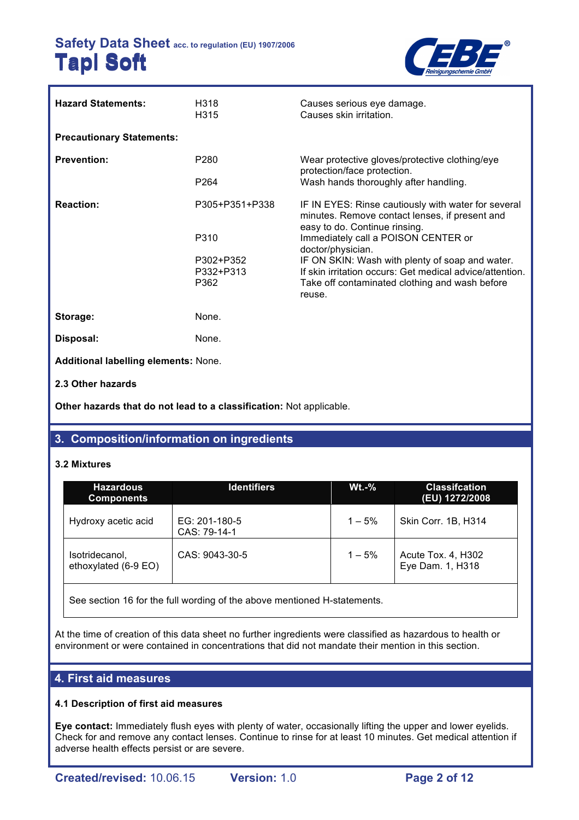

| <b>Hazard Statements:</b>            | H318<br>H315      | Causes serious eye damage.<br>Causes skin irritation.                                                                                  |
|--------------------------------------|-------------------|----------------------------------------------------------------------------------------------------------------------------------------|
| <b>Precautionary Statements:</b>     |                   |                                                                                                                                        |
| <b>Prevention:</b>                   | P <sub>280</sub>  | Wear protective gloves/protective clothing/eye<br>protection/face protection.                                                          |
|                                      | P <sub>264</sub>  | Wash hands thoroughly after handling.                                                                                                  |
| <b>Reaction:</b>                     | P305+P351+P338    | IF IN EYES: Rinse cautiously with water for several<br>minutes. Remove contact lenses, if present and<br>easy to do. Continue rinsing. |
|                                      | P310              | Immediately call a POISON CENTER or<br>doctor/physician.                                                                               |
|                                      | P302+P352         | IF ON SKIN: Wash with plenty of soap and water.                                                                                        |
|                                      | P332+P313<br>P362 | If skin irritation occurs: Get medical advice/attention.<br>Take off contaminated clothing and wash before                             |
|                                      |                   | reuse.                                                                                                                                 |
| Storage:                             | None.             |                                                                                                                                        |
| Disposal:                            | None.             |                                                                                                                                        |
| Additional labelling elements: None. |                   |                                                                                                                                        |
| 2.3 Other hazards                    |                   |                                                                                                                                        |

**Other hazards that do not lead to a classification:** Not applicable.

## **3. Composition/information on ingredients**

## **3.2 Mixtures**

| <b>Hazardous</b><br><b>Components</b>  | <b>Identifiers</b>            | $Wt.-%$  | <b>Classification</b><br>(EU) 1272/2008 |
|----------------------------------------|-------------------------------|----------|-----------------------------------------|
| Hydroxy acetic acid                    | EG: 201-180-5<br>CAS: 79-14-1 | $1 - 5%$ | Skin Corr. 1B, H314                     |
| Isotridecanol,<br>ethoxylated (6-9 EO) | CAS: 9043-30-5                | $1 - 5%$ | Acute Tox. 4, H302<br>Eye Dam. 1, H318  |

See section 16 for the full wording of the above mentioned H-statements.

At the time of creation of this data sheet no further ingredients were classified as hazardous to health or environment or were contained in concentrations that did not mandate their mention in this section.

## **4. First aid measures**

## **4.1 Description of first aid measures**

**Eye contact:** Immediately flush eyes with plenty of water, occasionally lifting the upper and lower eyelids. Check for and remove any contact lenses. Continue to rinse for at least 10 minutes. Get medical attention if adverse health effects persist or are severe.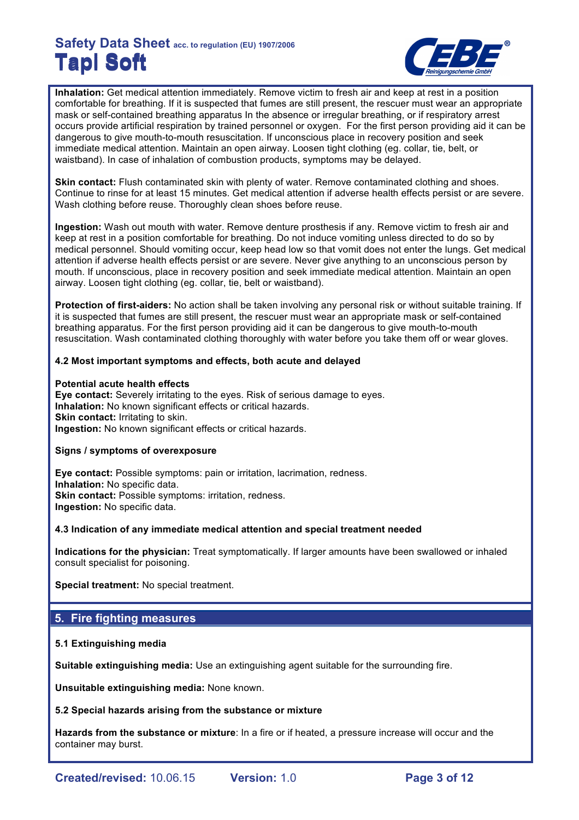

**Inhalation:** Get medical attention immediately. Remove victim to fresh air and keep at rest in a position comfortable for breathing. If it is suspected that fumes are still present, the rescuer must wear an appropriate mask or self-contained breathing apparatus In the absence or irregular breathing, or if respiratory arrest occurs provide artificial respiration by trained personnel or oxygen. For the first person providing aid it can be dangerous to give mouth-to-mouth resuscitation. If unconscious place in recovery position and seek immediate medical attention. Maintain an open airway. Loosen tight clothing (eg. collar, tie, belt, or waistband). In case of inhalation of combustion products, symptoms may be delayed.

**Skin contact:** Flush contaminated skin with plenty of water. Remove contaminated clothing and shoes. Continue to rinse for at least 15 minutes. Get medical attention if adverse health effects persist or are severe. Wash clothing before reuse. Thoroughly clean shoes before reuse.

**Ingestion:** Wash out mouth with water. Remove denture prosthesis if any. Remove victim to fresh air and keep at rest in a position comfortable for breathing. Do not induce vomiting unless directed to do so by medical personnel. Should vomiting occur, keep head low so that vomit does not enter the lungs. Get medical attention if adverse health effects persist or are severe. Never give anything to an unconscious person by mouth. If unconscious, place in recovery position and seek immediate medical attention. Maintain an open airway. Loosen tight clothing (eg. collar, tie, belt or waistband).

**Protection of first-aiders:** No action shall be taken involving any personal risk or without suitable training. If it is suspected that fumes are still present, the rescuer must wear an appropriate mask or self-contained breathing apparatus. For the first person providing aid it can be dangerous to give mouth-to-mouth resuscitation. Wash contaminated clothing thoroughly with water before you take them off or wear gloves.

### **4.2 Most important symptoms and effects, both acute and delayed**

### **Potential acute health effects**

**Eye contact:** Severely irritating to the eyes. Risk of serious damage to eyes. **Inhalation:** No known significant effects or critical hazards. **Skin contact: Irritating to skin. Ingestion:** No known significant effects or critical hazards.

#### **Signs / symptoms of overexposure**

**Eye contact:** Possible symptoms: pain or irritation, lacrimation, redness. **Inhalation:** No specific data. **Skin contact: Possible symptoms: irritation, redness. Ingestion:** No specific data.

#### **4.3 Indication of any immediate medical attention and special treatment needed**

**Indications for the physician:** Treat symptomatically. If larger amounts have been swallowed or inhaled consult specialist for poisoning.

**Special treatment:** No special treatment.

## **5. Fire fighting measures**

## **5.1 Extinguishing media**

**Suitable extinguishing media:** Use an extinguishing agent suitable for the surrounding fire.

**Unsuitable extinguishing media:** None known.

## **5.2 Special hazards arising from the substance or mixture**

**Hazards from the substance or mixture**: In a fire or if heated, a pressure increase will occur and the container may burst.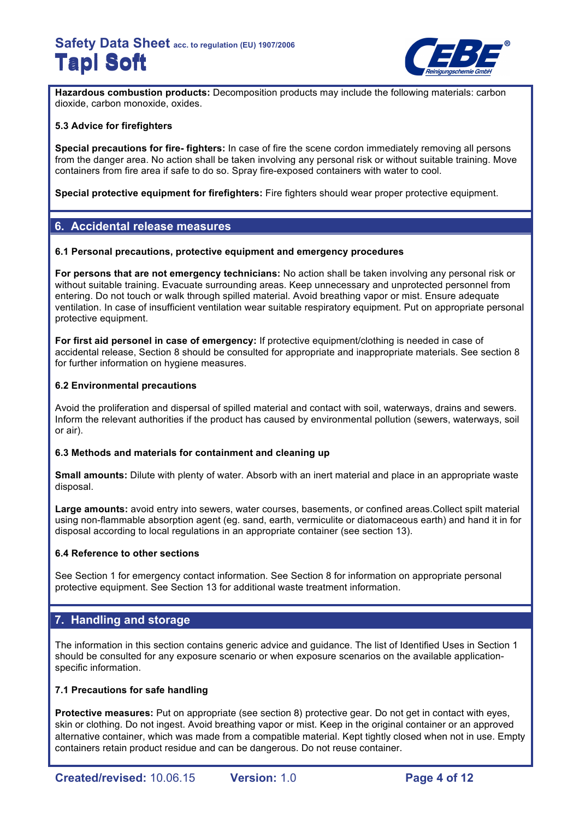

**Hazardous combustion products:** Decomposition products may include the following materials: carbon dioxide, carbon monoxide, oxides.

## **5.3 Advice for firefighters**

**Special precautions for fire- fighters:** In case of fire the scene cordon immediately removing all persons from the danger area. No action shall be taken involving any personal risk or without suitable training. Move containers from fire area if safe to do so. Spray fire-exposed containers with water to cool.

**Special protective equipment for firefighters:** Fire fighters should wear proper protective equipment.

## **6. Accidental release measures**

### **6.1 Personal precautions, protective equipment and emergency procedures**

**For persons that are not emergency technicians:** No action shall be taken involving any personal risk or without suitable training. Evacuate surrounding areas. Keep unnecessary and unprotected personnel from entering. Do not touch or walk through spilled material. Avoid breathing vapor or mist. Ensure adequate ventilation. In case of insufficient ventilation wear suitable respiratory equipment. Put on appropriate personal protective equipment.

**For first aid personel in case of emergency:** If protective equipment/clothing is needed in case of accidental release, Section 8 should be consulted for appropriate and inappropriate materials. See section 8 for further information on hygiene measures.

### **6.2 Environmental precautions**

Avoid the proliferation and dispersal of spilled material and contact with soil, waterways, drains and sewers. Inform the relevant authorities if the product has caused by environmental pollution (sewers, waterways, soil or air).

## **6.3 Methods and materials for containment and cleaning up**

**Small amounts:** Dilute with plenty of water. Absorb with an inert material and place in an appropriate waste disposal.

**Large amounts:** avoid entry into sewers, water courses, basements, or confined areas.Collect spilt material using non-flammable absorption agent (eg. sand, earth, vermiculite or diatomaceous earth) and hand it in for disposal according to local regulations in an appropriate container (see section 13).

## **6.4 Reference to other sections**

See Section 1 for emergency contact information. See Section 8 for information on appropriate personal protective equipment. See Section 13 for additional waste treatment information.

## **7. Handling and storage**

The information in this section contains generic advice and guidance. The list of Identified Uses in Section 1 should be consulted for any exposure scenario or when exposure scenarios on the available applicationspecific information.

## **7.1 Precautions for safe handling**

**Protective measures:** Put on appropriate (see section 8) protective gear. Do not get in contact with eyes, skin or clothing. Do not ingest. Avoid breathing vapor or mist. Keep in the original container or an approved alternative container, which was made from a compatible material. Kept tightly closed when not in use. Empty containers retain product residue and can be dangerous. Do not reuse container.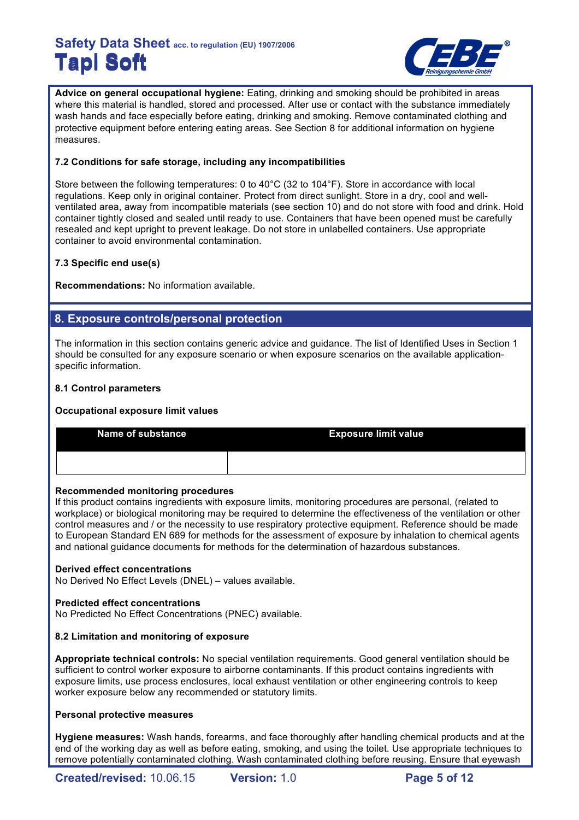

**Advice on general occupational hygiene:** Eating, drinking and smoking should be prohibited in areas where this material is handled, stored and processed. After use or contact with the substance immediately wash hands and face especially before eating, drinking and smoking. Remove contaminated clothing and protective equipment before entering eating areas. See Section 8 for additional information on hygiene measures.

## **7.2 Conditions for safe storage, including any incompatibilities**

Store between the following temperatures: 0 to 40°C (32 to 104°F). Store in accordance with local regulations. Keep only in original container. Protect from direct sunlight. Store in a dry, cool and wellventilated area, away from incompatible materials (see section 10) and do not store with food and drink. Hold container tightly closed and sealed until ready to use. Containers that have been opened must be carefully resealed and kept upright to prevent leakage. Do not store in unlabelled containers. Use appropriate container to avoid environmental contamination.

## **7.3 Specific end use(s)**

**Recommendations:** No information available.

## **8. Exposure controls/personal protection**

The information in this section contains generic advice and guidance. The list of Identified Uses in Section 1 should be consulted for any exposure scenario or when exposure scenarios on the available applicationspecific information.

## **8.1 Control parameters**

## **Occupational exposure limit values**

| <b>Name of substance</b> | <b>Exposure limit value</b> |
|--------------------------|-----------------------------|
|                          |                             |

## **Recommended monitoring procedures**

If this product contains ingredients with exposure limits, monitoring procedures are personal, (related to workplace) or biological monitoring may be required to determine the effectiveness of the ventilation or other control measures and / or the necessity to use respiratory protective equipment. Reference should be made to European Standard EN 689 for methods for the assessment of exposure by inhalation to chemical agents and national guidance documents for methods for the determination of hazardous substances.

## **Derived effect concentrations**

No Derived No Effect Levels (DNEL) – values available.

## **Predicted effect concentrations**

No Predicted No Effect Concentrations (PNEC) available.

## **8.2 Limitation and monitoring of exposure**

**Appropriate technical controls:** No special ventilation requirements. Good general ventilation should be sufficient to control worker exposure to airborne contaminants. If this product contains ingredients with exposure limits, use process enclosures, local exhaust ventilation or other engineering controls to keep worker exposure below any recommended or statutory limits.

## **Personal protective measures**

**Hygiene measures:** Wash hands, forearms, and face thoroughly after handling chemical products and at the end of the working day as well as before eating, smoking, and using the toilet. Use appropriate techniques to remove potentially contaminated clothing. Wash contaminated clothing before reusing. Ensure that eyewash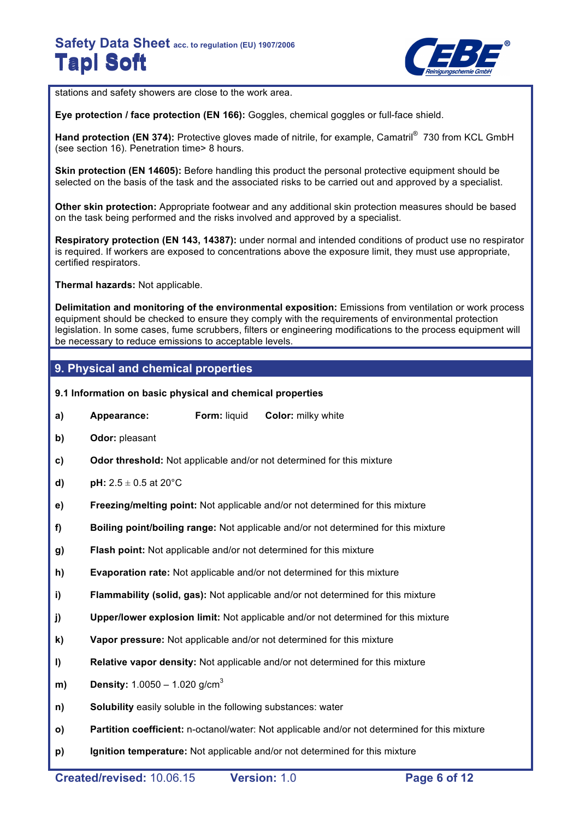

stations and safety showers are close to the work area.

**Eye protection / face protection (EN 166):** Goggles, chemical goggles or full-face shield.

Hand protection (EN 374): Protective gloves made of nitrile, for example, Camatril<sup>®</sup> 730 from KCL GmbH (see section 16). Penetration time> 8 hours.

**Skin protection (EN 14605):** Before handling this product the personal protective equipment should be selected on the basis of the task and the associated risks to be carried out and approved by a specialist.

**Other skin protection:** Appropriate footwear and any additional skin protection measures should be based on the task being performed and the risks involved and approved by a specialist.

**Respiratory protection (EN 143, 14387):** under normal and intended conditions of product use no respirator is required. If workers are exposed to concentrations above the exposure limit, they must use appropriate, certified respirators.

**Thermal hazards:** Not applicable.

**Delimitation and monitoring of the environmental exposition:** Emissions from ventilation or work process equipment should be checked to ensure they comply with the requirements of environmental protection legislation. In some cases, fume scrubbers, filters or engineering modifications to the process equipment will be necessary to reduce emissions to acceptable levels.

## **9. Physical and chemical properties**

- **9.1 Information on basic physical and chemical properties**
- **a) Appearance: Form:** liquid **Color:** milky white
- **b) Odor:** pleasant
- **c) Odor threshold:** Not applicable and/or not determined for this mixture
- **d) pH:**  $2.5 \pm 0.5$  at  $20^{\circ}$ C
- **e) Freezing/melting point:** Not applicable and/or not determined for this mixture
- **f) Boiling point/boiling range:** Not applicable and/or not determined for this mixture
- **g) Flash point:** Not applicable and/or not determined for this mixture
- **h) Evaporation rate:** Not applicable and/or not determined for this mixture
- **i) Flammability (solid, gas):** Not applicable and/or not determined for this mixture
- **j) Upper/lower explosion limit:** Not applicable and/or not determined for this mixture
- **k) Vapor pressure:** Not applicable and/or not determined for this mixture
- **l) Relative vapor density:** Not applicable and/or not determined for this mixture
- **m) Density:** 1.0050 1.020 g/cm<sup>3</sup>
- **n) Solubility** easily soluble in the following substances: water
- **o) Partition coefficient:** n-octanol/water: Not applicable and/or not determined for this mixture
- **p) Ignition temperature:** Not applicable and/or not determined for this mixture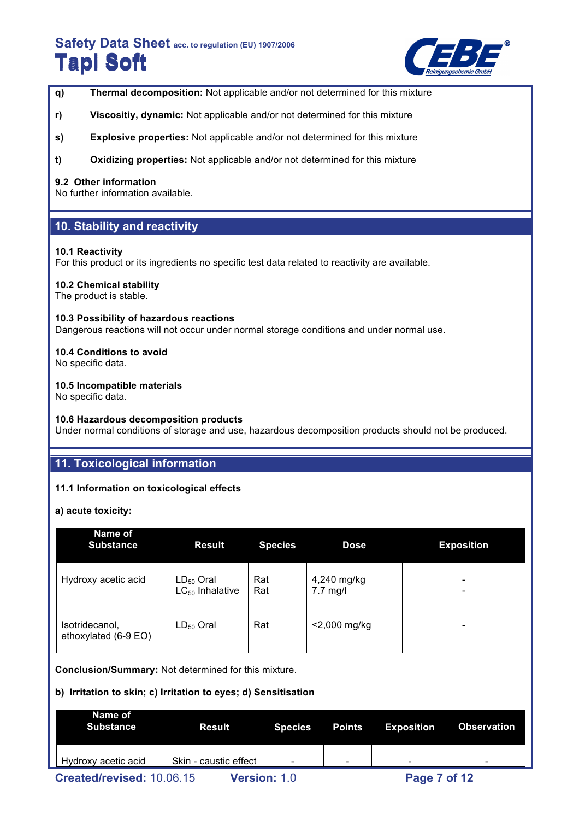

- **q) Thermal decomposition:** Not applicable and/or not determined for this mixture
- **r) Viscositiy, dynamic:** Not applicable and/or not determined for this mixture
- **s) Explosive properties:** Not applicable and/or not determined for this mixture
- **t) Oxidizing properties:** Not applicable and/or not determined for this mixture

## **9.2 Other information**

No further information available.

## **10. Stability and reactivity**

### **10.1 Reactivity**

For this product or its ingredients no specific test data related to reactivity are available.

### **10.2 Chemical stability**

The product is stable.

#### **10.3 Possibility of hazardous reactions**

Dangerous reactions will not occur under normal storage conditions and under normal use.

### **10.4 Conditions to avoid**

No specific data.

### **10.5 Incompatible materials**

No specific data.

#### **10.6 Hazardous decomposition products**

Under normal conditions of storage and use, hazardous decomposition products should not be produced.

## **11. Toxicological information**

## **11.1 Information on toxicological effects**

**a) acute toxicity:**

| Name of<br><b>Substance</b>            | <b>Result</b>                          | <b>Species</b> | <b>Dose</b>               | <b>Exposition</b> |
|----------------------------------------|----------------------------------------|----------------|---------------------------|-------------------|
| Hydroxy acetic acid                    | $LD_{50}$ Oral<br>$LC_{50}$ Inhalative | Rat<br>Rat     | 4,240 mg/kg<br>$7.7$ mg/l | -<br>-            |
| Isotridecanol,<br>ethoxylated (6-9 EO) | $LD_{50}$ Oral                         | Rat            | <2,000 mg/kg              | -                 |

**Conclusion/Summary:** Not determined for this mixture.

## **b) Irritation to skin; c) Irritation to eyes; d) Sensitisation**

| Name of<br><b>Substance</b> | <b>Result</b>         | <b>Species</b>      | Points                   | <b>Exposition</b>        | <b>Observation</b>       |
|-----------------------------|-----------------------|---------------------|--------------------------|--------------------------|--------------------------|
| Hydroxy acetic acid         | Skin - caustic effect |                     | $\overline{\phantom{0}}$ | $\overline{\phantom{0}}$ | $\overline{\phantom{0}}$ |
| Created/revised: 10.06.15   |                       | <b>Version: 1.0</b> |                          | Page 7 of 12             |                          |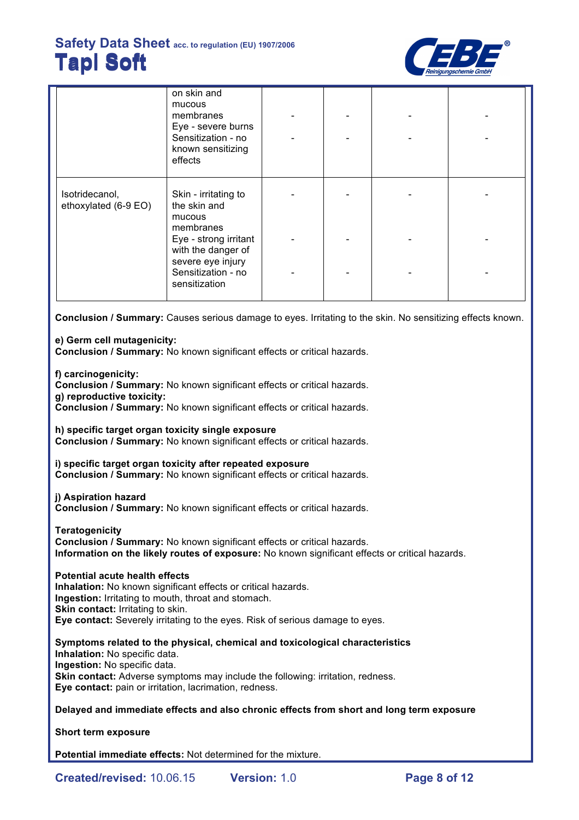

|                                        | on skin and<br>mucous<br>membranes<br>Eye - severe burns<br>Sensitization - no<br>known sensitizing<br>effects |  |  |
|----------------------------------------|----------------------------------------------------------------------------------------------------------------|--|--|
| Isotridecanol,<br>ethoxylated (6-9 EO) | Skin - irritating to<br>the skin and<br>mucous<br>membranes                                                    |  |  |
|                                        | Eye - strong irritant<br>with the danger of<br>severe eye injury                                               |  |  |
|                                        | Sensitization - no<br>sensitization                                                                            |  |  |

**Conclusion / Summary:** Causes serious damage to eyes. Irritating to the skin. No sensitizing effects known.

## **e) Germ cell mutagenicity:**

**Conclusion / Summary:** No known significant effects or critical hazards.

**f) carcinogenicity:**

**Conclusion / Summary:** No known significant effects or critical hazards. **g) reproductive toxicity:**

**Conclusion / Summary:** No known significant effects or critical hazards.

**h) specific target organ toxicity single exposure**

**Conclusion / Summary:** No known significant effects or critical hazards.

**i) specific target organ toxicity after repeated exposure**

**Conclusion / Summary:** No known significant effects or critical hazards.

## **j) Aspiration hazard**

**Conclusion / Summary:** No known significant effects or critical hazards.

**Teratogenicity**

**Conclusion / Summary:** No known significant effects or critical hazards. **Information on the likely routes of exposure:** No known significant effects or critical hazards.

## **Potential acute health effects**

**Inhalation:** No known significant effects or critical hazards. **Ingestion:** Irritating to mouth, throat and stomach. **Skin contact: Irritating to skin. Eye contact:** Severely irritating to the eyes. Risk of serious damage to eyes.

**Symptoms related to the physical, chemical and toxicological characteristics Inhalation:** No specific data. **Ingestion:** No specific data. **Skin contact:** Adverse symptoms may include the following: irritation, redness. **Eye contact:** pain or irritation, lacrimation, redness.

**Delayed and immediate effects and also chronic effects from short and long term exposure**

**Short term exposure**

**Potential immediate effects:** Not determined for the mixture.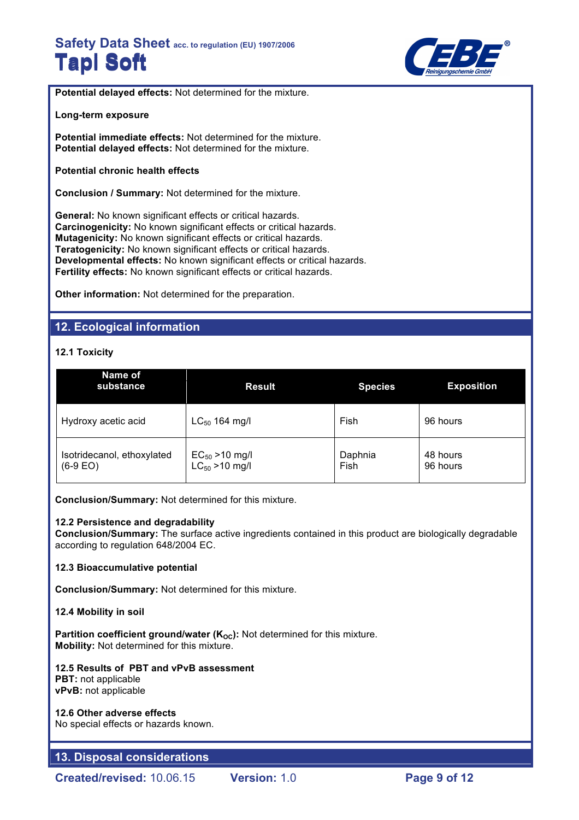

**Potential delayed effects:** Not determined for the mixture.

#### **Long-term exposure**

**Potential immediate effects:** Not determined for the mixture. **Potential delayed effects:** Not determined for the mixture.

#### **Potential chronic health effects**

**Conclusion / Summary:** Not determined for the mixture.

**General:** No known significant effects or critical hazards. **Carcinogenicity:** No known significant effects or critical hazards. **Mutagenicity:** No known significant effects or critical hazards. **Teratogenicity:** No known significant effects or critical hazards. **Developmental effects:** No known significant effects or critical hazards. **Fertility effects:** No known significant effects or critical hazards.

**Other information:** Not determined for the preparation.

## **12. Ecological information**

## **12.1 Toxicity**

| Name of<br>substance                     | <b>Result</b>                                     | <b>Species</b>  | <b>Exposition</b>    |
|------------------------------------------|---------------------------------------------------|-----------------|----------------------|
| Hydroxy acetic acid                      | $LC_{50}$ 164 mg/l                                | Fish            | 96 hours             |
| Isotridecanol, ethoxylated<br>$(6-9 EO)$ | $EC_{50} > 10$ mg/l<br>LC <sub>50</sub> > 10 mg/l | Daphnia<br>Fish | 48 hours<br>96 hours |

**Conclusion/Summary:** Not determined for this mixture.

#### **12.2 Persistence and degradability**

**Conclusion/Summary:** The surface active ingredients contained in this product are biologically degradable according to regulation 648/2004 EC.

#### **12.3 Bioaccumulative potential**

**Conclusion/Summary:** Not determined for this mixture.

#### **12.4 Mobility in soil**

**Partition coefficient ground/water (K<sub>OC</sub>):** Not determined for this mixture. **Mobility:** Not determined for this mixture.

#### **12.5 Results of PBT and vPvB assessment PBT:** not applicable **vPvB:** not applicable

#### **12.6 Other adverse effects**

No special effects or hazards known.

## **13. Disposal considerations**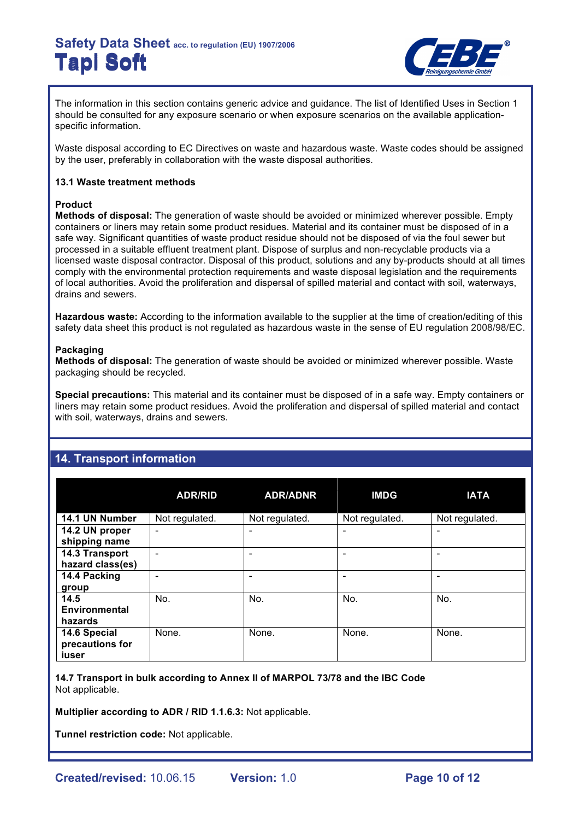

The information in this section contains generic advice and guidance. The list of Identified Uses in Section 1 should be consulted for any exposure scenario or when exposure scenarios on the available applicationspecific information.

Waste disposal according to EC Directives on waste and hazardous waste. Waste codes should be assigned by the user, preferably in collaboration with the waste disposal authorities.

## **13.1 Waste treatment methods**

## **Product**

**Methods of disposal:** The generation of waste should be avoided or minimized wherever possible. Empty containers or liners may retain some product residues. Material and its container must be disposed of in a safe way. Significant quantities of waste product residue should not be disposed of via the foul sewer but processed in a suitable effluent treatment plant. Dispose of surplus and non-recyclable products via a licensed waste disposal contractor. Disposal of this product, solutions and any by-products should at all times comply with the environmental protection requirements and waste disposal legislation and the requirements of local authorities. Avoid the proliferation and dispersal of spilled material and contact with soil, waterways, drains and sewers.

**Hazardous waste:** According to the information available to the supplier at the time of creation/editing of this safety data sheet this product is not regulated as hazardous waste in the sense of EU regulation 2008/98/EC.

### **Packaging**

**Methods of disposal:** The generation of waste should be avoided or minimized wherever possible. Waste packaging should be recycled.

**Special precautions:** This material and its container must be disposed of in a safe way. Empty containers or liners may retain some product residues. Avoid the proliferation and dispersal of spilled material and contact with soil, waterways, drains and sewers.

|                                          | <b>ADR/RID</b>           | <b>ADR/ADNR</b> | <b>IMDG</b>              | <b>IATA</b>    |
|------------------------------------------|--------------------------|-----------------|--------------------------|----------------|
| 14.1 UN Number                           | Not regulated.           | Not regulated.  | Not regulated.           | Not regulated. |
| 14.2 UN proper<br>shipping name          | $\overline{\phantom{0}}$ | ۰               | $\overline{\phantom{0}}$ | ٠              |
| 14.3 Transport<br>hazard class(es)       | ٠                        |                 |                          |                |
| 14.4 Packing<br>group                    | -                        |                 |                          |                |
| 14.5<br>Environmental<br>hazards         | No.                      | No.             | No.                      | No.            |
| 14.6 Special<br>precautions for<br>iuser | None.                    | None.           | None.                    | None.          |

## **14. Transport information**

**14.7 Transport in bulk according to Annex II of MARPOL 73/78 and the IBC Code** Not applicable.

**Multiplier according to ADR / RID 1.1.6.3:** Not applicable.

**Tunnel restriction code:** Not applicable.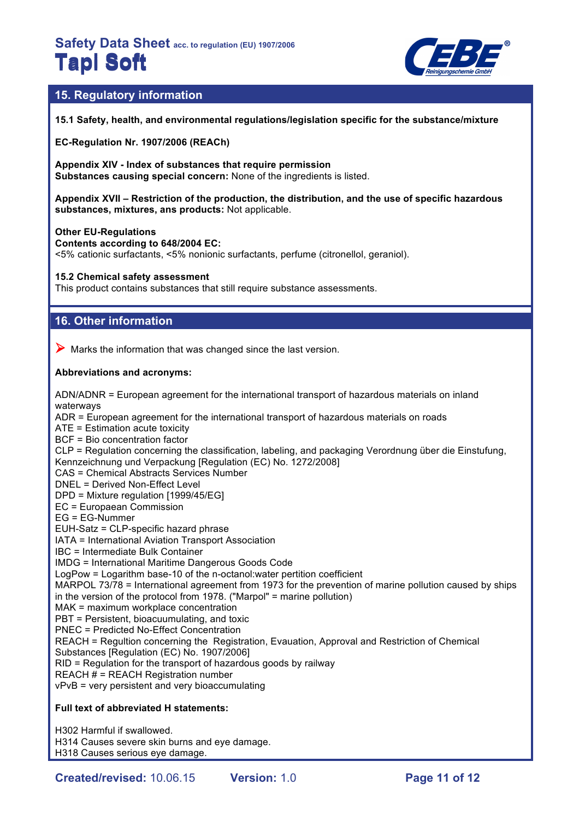

## **15. Regulatory information**

**15.1 Safety, health, and environmental regulations/legislation specific for the substance/mixture**

**EC-Regulation Nr. 1907/2006 (REACh)**

**Appendix XIV - Index of substances that require permission Substances causing special concern:** None of the ingredients is listed.

**Appendix XVII – Restriction of the production, the distribution, and the use of specific hazardous substances, mixtures, ans products:** Not applicable.

#### **Other EU-Regulations**

**Contents according to 648/2004 EC:**

<5% cationic surfactants, <5% nonionic surfactants, perfume (citronellol, geraniol).

**15.2 Chemical safety assessment**

This product contains substances that still require substance assessments.

## **16. Other information**

 $\triangleright$  Marks the information that was changed since the last version.

## **Abbreviations and acronyms:**

ADN/ADNR = European agreement for the international transport of hazardous materials on inland waterways ADR = European agreement for the international transport of hazardous materials on roads ATE = Estimation acute toxicity BCF = Bio concentration factor CLP = Regulation concerning the classification, labeling, and packaging Verordnung über die Einstufung, Kennzeichnung und Verpackung [Regulation (EC) No. 1272/2008] CAS = Chemical Abstracts Services Number DNEL = Derived Non-Effect Level DPD = Mixture regulation [1999/45/EG] EC = Europaean Commission EG = EG-Nummer EUH-Satz = CLP-specific hazard phrase IATA = International Aviation Transport Association IBC = Intermediate Bulk Container IMDG = International Maritime Dangerous Goods Code LogPow = Logarithm base-10 of the n-octanol:water pertition coefficient MARPOL 73/78 = International agreement from 1973 for the prevention of marine pollution caused by ships in the version of the protocol from 1978. ("Marpol" = marine pollution) MAK = maximum workplace concentration PBT = Persistent, bioacuumulating, and toxic PNEC = Predicted No-Effect Concentration REACH = Regultion concerning the Registration, Evauation, Approval and Restriction of Chemical Substances [Regulation (EC) No. 1907/2006] RID = Regulation for the transport of hazardous goods by railway REACH # = REACH Registration number vPvB = very persistent and very bioaccumulating

## **Full text of abbreviated H statements:**

H302 Harmful if swallowed. H314 Causes severe skin burns and eye damage. H318 Causes serious eye damage.